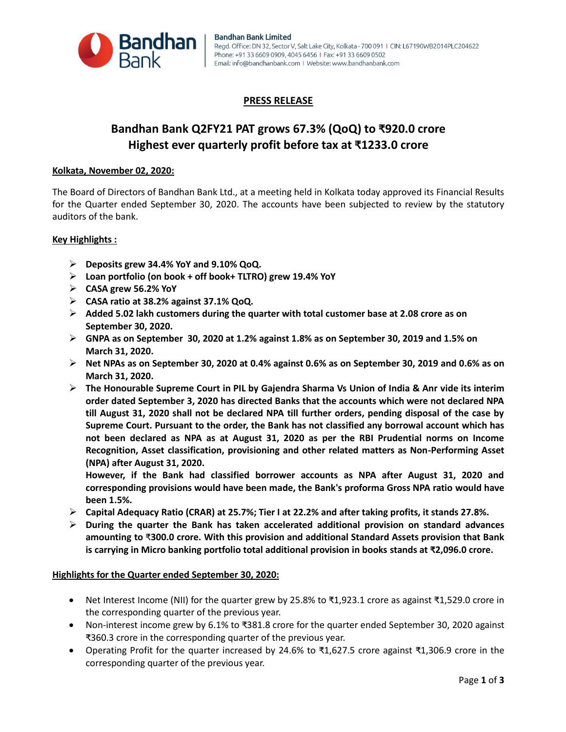

## **PRESS RELEASE**

# **Bandhan Bank Q2FY21 PAT grows 67.3% (QoQ) to ₹920.0 crore Highest ever quarterly profit before tax at ₹1233.0 crore**

#### **Kolkata, November 02, 2020:**

The Board of Directors of Bandhan Bank Ltd., at a meeting held in Kolkata today approved its Financial Results for the Quarter ended September 30, 2020. The accounts have been subjected to review by the statutory auditors of the bank.

#### **Key Highlights :**

- **Deposits grew 34.4% YoY and 9.10% QoQ.**
- **Loan portfolio (on book + off book+ TLTRO) grew 19.4% YoY**
- **CASA grew 56.2% YoY**
- **CASA ratio at 38.2% against 37.1% QoQ.**
- **Added 5.02 lakh customers during the quarter with total customer base at 2.08 crore as on September 30, 2020.**
- **GNPA as on September 30, 2020 at 1.2% against 1.8% as on September 30, 2019 and 1.5% on March 31, 2020.**
- **Net NPAs as on September 30, 2020 at 0.4% against 0.6% as on September 30, 2019 and 0.6% as on March 31, 2020.**
- **The Honourable Supreme Court in PIL by Gajendra Sharma Vs Union of India & Anr vide its interim order dated September 3, 2020 has directed Banks that the accounts which were not declared NPA till August 31, 2020 shall not be declared NPA till further orders, pending disposal of the case by Supreme Court. Pursuant to the order, the Bank has not classified any borrowal account which has not been declared as NPA as at August 31, 2020 as per the RBI Prudential norms on Income Recognition, Asset classification, provisioning and other related matters as Non-Performing Asset (NPA) after August 31, 2020.**

**However, if the Bank had classified borrower accounts as NPA after August 31, 2020 and corresponding provisions would have been made, the Bank's proforma Gross NPA ratio would have been 1.5%.** 

- **Capital Adequacy Ratio (CRAR) at 25.7%; Tier I at 22.2% and after taking profits, it stands 27.8%.**
- **During the quarter the Bank has taken accelerated additional provision on standard advances amounting to** ₹**300.0 crore. With this provision and additional Standard Assets provision that Bank is carrying in Micro banking portfolio total additional provision in books stands at ₹2,096.0 crore.**

#### **Highlights for the Quarter ended September 30, 2020:**

- Net Interest Income (NII) for the quarter grew by 25.8% to ₹1,923.1 crore as against ₹1,529.0 crore in the corresponding quarter of the previous year.
- Non-interest income grew by 6.1% to ₹381.8 crore for the quarter ended September 30, 2020 against ₹360.3 crore in the corresponding quarter of the previous year.
- Operating Profit for the quarter increased by 24.6% to ₹1,627.5 crore against ₹1,306.9 crore in the corresponding quarter of the previous year.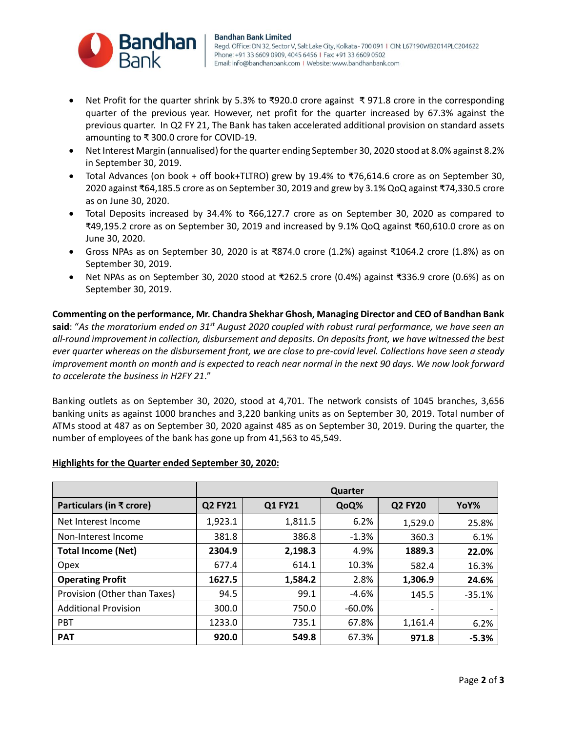

- Net Profit for the quarter shrink by 5.3% to ₹920.0 crore against ₹ 971.8 crore in the corresponding quarter of the previous year. However, net profit for the quarter increased by 67.3% against the previous quarter. In Q2 FY 21, The Bank has taken accelerated additional provision on standard assets amounting to ₹ 300.0 crore for COVID-19.
- Net Interest Margin (annualised) for the quarter ending September 30, 2020 stood at 8.0% against 8.2% in September 30, 2019.
- Total Advances (on book + off book+TLTRO) grew by 19.4% to ₹76,614.6 crore as on September 30, 2020 against ₹64,185.5 crore as on September 30, 2019 and grew by 3.1% QoQ against ₹74,330.5 crore as on June 30, 2020.
- Total Deposits increased by 34.4% to ₹66,127.7 crore as on September 30, 2020 as compared to ₹49,195.2 crore as on September 30, 2019 and increased by 9.1% QoQ against ₹60,610.0 crore as on June 30, 2020.
- Gross NPAs as on September 30, 2020 is at ₹874.0 crore (1.2%) against ₹1064.2 crore (1.8%) as on September 30, 2019.
- Net NPAs as on September 30, 2020 stood at ₹262.5 crore (0.4%) against ₹336.9 crore (0.6%) as on September 30, 2019.

**Commenting on the performance, Mr. Chandra Shekhar Ghosh, Managing Director and CEO of Bandhan Bank said**: "*As the moratorium ended on 31st August 2020 coupled with robust rural performance, we have seen an all-round improvement in collection, disbursement and deposits. On deposits front, we have witnessed the best ever quarter whereas on the disbursement front, we are close to pre-covid level. Collections have seen a steady improvement month on month and is expected to reach near normal in the next 90 days. We now look forward to accelerate the business in H2FY 21*."

Banking outlets as on September 30, 2020, stood at 4,701. The network consists of 1045 branches, 3,656 banking units as against 1000 branches and 3,220 banking units as on September 30, 2019. Total number of ATMs stood at 487 as on September 30, 2020 against 485 as on September 30, 2019. During the quarter, the number of employees of the bank has gone up from 41,563 to 45,549.

| lighlights for the Quarter ended September 30, 2020: |                |         |           |                |          |  |  |
|------------------------------------------------------|----------------|---------|-----------|----------------|----------|--|--|
|                                                      | Quarter        |         |           |                |          |  |  |
| Particulars (in ₹ crore)                             | <b>Q2 FY21</b> | Q1 FY21 | QoQ%      | <b>Q2 FY20</b> | YoY%     |  |  |
| Net Interest Income                                  | 1,923.1        | 1,811.5 | 6.2%      | 1,529.0        | 25.8%    |  |  |
| Non-Interest Income                                  | 381.8          | 386.8   | $-1.3%$   | 360.3          | 6.1%     |  |  |
| <b>Total Income (Net)</b>                            | 2304.9         | 2,198.3 | 4.9%      | 1889.3         | 22.0%    |  |  |
| Opex                                                 | 677.4          | 614.1   | 10.3%     | 582.4          | 16.3%    |  |  |
| <b>Operating Profit</b>                              | 1627.5         | 1,584.2 | 2.8%      | 1,306.9        | 24.6%    |  |  |
| Provision (Other than Taxes)                         | 94.5           | 99.1    | $-4.6%$   | 145.5          | $-35.1%$ |  |  |
| <b>Additional Provision</b>                          | 300.0          | 750.0   | $-60.0\%$ |                |          |  |  |
| <b>PBT</b>                                           | 1233.0         | 735.1   | 67.8%     | 1,161.4        | 6.2%     |  |  |
| <b>PAT</b>                                           | 920.0          | 549.8   | 67.3%     | 971.8          | $-5.3%$  |  |  |

#### **Highlights for the Quarter ended September 30, 2020:**